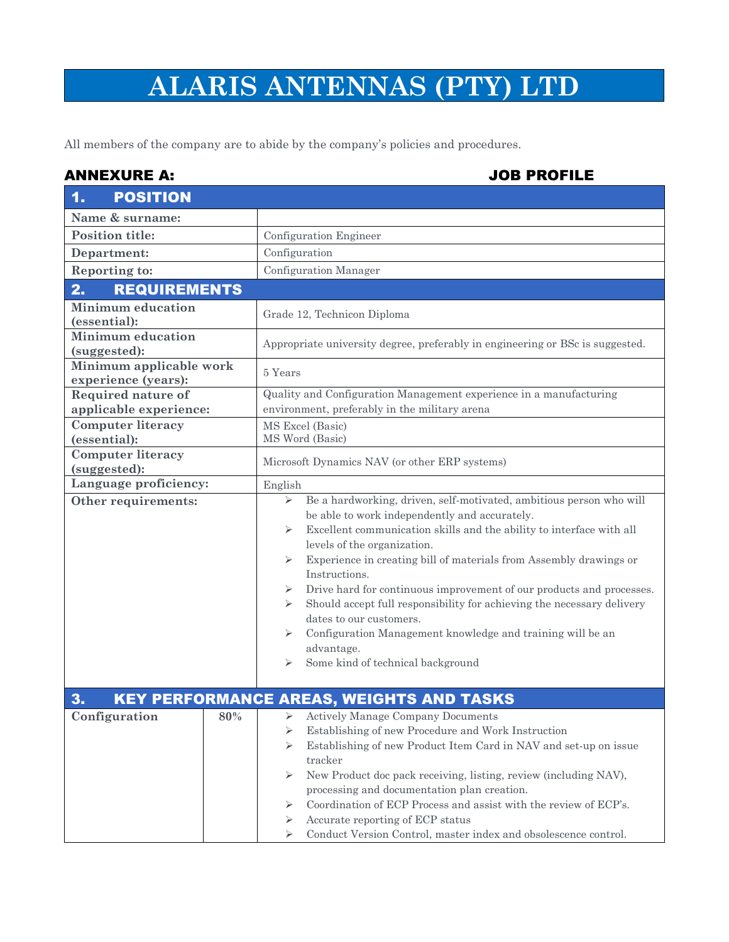## **ALARIS ANTENNAS (PTY) LTD**

All members of the company are to abide by the company's policies and procedures.

## ANNEXURE A: JOB PROFILE

| <b>POSITION</b><br>1.                          |                                                                                                                                                                                                                                                                                                                                                                                                                                                                                                                                                                                                                                                     |
|------------------------------------------------|-----------------------------------------------------------------------------------------------------------------------------------------------------------------------------------------------------------------------------------------------------------------------------------------------------------------------------------------------------------------------------------------------------------------------------------------------------------------------------------------------------------------------------------------------------------------------------------------------------------------------------------------------------|
| Name & surname:                                |                                                                                                                                                                                                                                                                                                                                                                                                                                                                                                                                                                                                                                                     |
| <b>Position title:</b>                         | Configuration Engineer                                                                                                                                                                                                                                                                                                                                                                                                                                                                                                                                                                                                                              |
| Department:                                    | Configuration                                                                                                                                                                                                                                                                                                                                                                                                                                                                                                                                                                                                                                       |
| <b>Reporting to:</b>                           | Configuration Manager                                                                                                                                                                                                                                                                                                                                                                                                                                                                                                                                                                                                                               |
| 2.<br><b>REQUIREMENTS</b>                      |                                                                                                                                                                                                                                                                                                                                                                                                                                                                                                                                                                                                                                                     |
| <b>Minimum</b> education<br>(essential):       | Grade 12, Technicon Diploma                                                                                                                                                                                                                                                                                                                                                                                                                                                                                                                                                                                                                         |
| <b>Minimum education</b><br>(suggested):       | Appropriate university degree, preferably in engineering or BSc is suggested.                                                                                                                                                                                                                                                                                                                                                                                                                                                                                                                                                                       |
| Minimum applicable work<br>experience (years): | 5 Years                                                                                                                                                                                                                                                                                                                                                                                                                                                                                                                                                                                                                                             |
| Required nature of<br>applicable experience:   | Quality and Configuration Management experience in a manufacturing<br>environment, preferably in the military arena                                                                                                                                                                                                                                                                                                                                                                                                                                                                                                                                 |
| <b>Computer literacy</b><br>(essential):       | MS Excel (Basic)<br>MS Word (Basic)                                                                                                                                                                                                                                                                                                                                                                                                                                                                                                                                                                                                                 |
| <b>Computer literacy</b><br>(suggested):       | Microsoft Dynamics NAV (or other ERP systems)                                                                                                                                                                                                                                                                                                                                                                                                                                                                                                                                                                                                       |
| Language proficiency:                          | English                                                                                                                                                                                                                                                                                                                                                                                                                                                                                                                                                                                                                                             |
| Other requirements:                            | Be a hardworking, driven, self-motivated, ambitious person who will<br>➤<br>be able to work independently and accurately.<br>Excellent communication skills and the ability to interface with all<br>⋗<br>levels of the organization.<br>Experience in creating bill of materials from Assembly drawings or<br>➤<br>Instructions.<br>Drive hard for continuous improvement of our products and processes.<br>➤<br>Should accept full responsibility for achieving the necessary delivery<br>➤<br>dates to our customers.<br>Configuration Management knowledge and training will be an<br>⋗<br>advantage.<br>Some kind of technical background<br>⋗ |
| 3.<br>Configuration<br>80%                     | <b>KEY PERFORMANCE AREAS, WEIGHTS AND TASKS</b><br><b>Actively Manage Company Documents</b><br>➤<br>Establishing of new Procedure and Work Instruction<br>⋗<br>Establishing of new Product Item Card in NAV and set-up on issue<br>⋗<br>tracker<br>New Product doc pack receiving, listing, review (including NAV),<br>⋗<br>processing and documentation plan creation.<br>Coordination of ECP Process and assist with the review of ECP's.<br>⋗<br>Accurate reporting of ECP status<br>⋗<br>Conduct Version Control, master index and obsolescence control.                                                                                        |